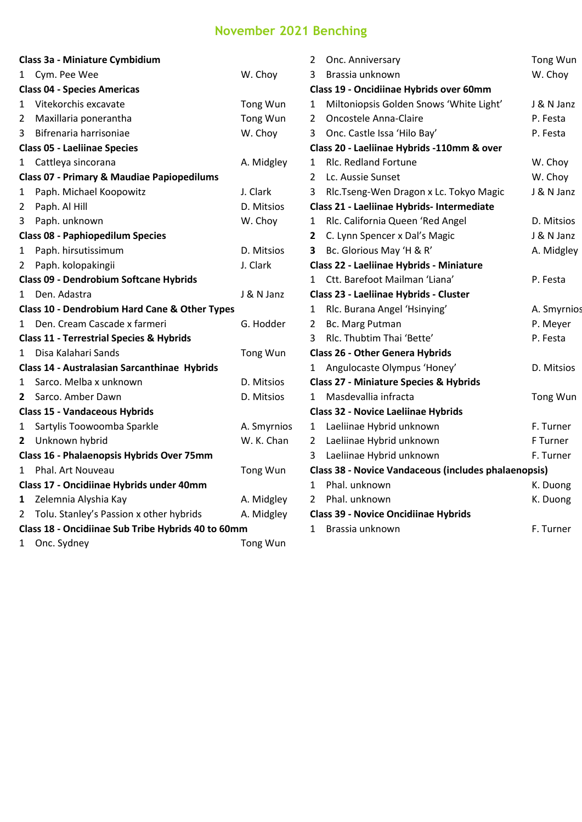## **November 2021 Benching**

|                                                    | Class 3a - Miniature Cymbidium                           |             |  |  |  |
|----------------------------------------------------|----------------------------------------------------------|-------------|--|--|--|
| 1                                                  | Cym. Pee Wee                                             | W. Choy     |  |  |  |
|                                                    | <b>Class 04 - Species Americas</b>                       |             |  |  |  |
| 1                                                  | Vitekorchis excavate                                     | Tong Wun    |  |  |  |
| $\overline{2}$                                     | Maxillaria ponerantha                                    | Tong Wun    |  |  |  |
| 3                                                  | Bifrenaria harrisoniae                                   | W. Choy     |  |  |  |
| <b>Class 05 - Laeliinae Species</b>                |                                                          |             |  |  |  |
| 1                                                  | Cattleya sincorana                                       | A. Midgley  |  |  |  |
|                                                    | <b>Class 07 - Primary &amp; Maudiae Papiopedilums</b>    |             |  |  |  |
| 1                                                  | Paph. Michael Koopowitz                                  | J. Clark    |  |  |  |
| 2                                                  | Paph. Al Hill                                            | D. Mitsios  |  |  |  |
| 3                                                  | Paph. unknown                                            | W. Choy     |  |  |  |
| <b>Class 08 - Paphiopedilum Species</b>            |                                                          |             |  |  |  |
| 1                                                  | Paph. hirsutissimum                                      | D. Mitsios  |  |  |  |
| 2                                                  | Paph. kolopakingii                                       | J. Clark    |  |  |  |
|                                                    | Class 09 - Dendrobium Softcane Hybrids                   |             |  |  |  |
| 1                                                  | Den. Adastra                                             | J & N Janz  |  |  |  |
|                                                    | <b>Class 10 - Dendrobium Hard Cane &amp; Other Types</b> |             |  |  |  |
| 1                                                  | Den. Cream Cascade x farmeri                             | G. Hodder   |  |  |  |
|                                                    | <b>Class 11 - Terrestrial Species &amp; Hybrids</b>      |             |  |  |  |
| $\mathbf{1}$                                       | Disa Kalahari Sands                                      | Tong Wun    |  |  |  |
| Class 14 - Australasian Sarcanthinae Hybrids       |                                                          |             |  |  |  |
| 1                                                  | Sarco. Melba x unknown                                   | D. Mitsios  |  |  |  |
| 2                                                  | Sarco. Amber Dawn                                        | D. Mitsios  |  |  |  |
| <b>Class 15 - Vandaceous Hybrids</b>               |                                                          |             |  |  |  |
| 1                                                  | Sartylis Toowoomba Sparkle                               | A. Smyrnios |  |  |  |
| 2                                                  | Unknown hybrid                                           | W. K. Chan  |  |  |  |
| Class 16 - Phalaenopsis Hybrids Over 75mm          |                                                          |             |  |  |  |
| 1                                                  | Phal. Art Nouveau                                        | Tong Wun    |  |  |  |
| Class 17 - Oncidiinae Hybrids under 40mm           |                                                          |             |  |  |  |
| 1                                                  | Zelemnia Alyshia Kay                                     | A. Midgley  |  |  |  |
| 2                                                  | Tolu. Stanley's Passion x other hybrids                  | A. Midgley  |  |  |  |
| Class 18 - Oncidiinae Sub Tribe Hybrids 40 to 60mm |                                                          |             |  |  |  |
| 1                                                  | Onc. Sydney                                              | Tong Wun    |  |  |  |

| 2                                                    | Onc. Anniversary                                  | Tong Wun    |  |  |  |
|------------------------------------------------------|---------------------------------------------------|-------------|--|--|--|
| 3                                                    | Brassia unknown                                   | W. Choy     |  |  |  |
| Class 19 - Oncidiinae Hybrids over 60mm              |                                                   |             |  |  |  |
| 1                                                    | Miltoniopsis Golden Snows 'White Light'           | J & N Janz  |  |  |  |
| 2                                                    | <b>Oncostele Anna-Claire</b>                      | P. Festa    |  |  |  |
| 3                                                    | Onc. Castle Issa 'Hilo Bay'                       | P. Festa    |  |  |  |
| Class 20 - Laeliinae Hybrids -110mm & over           |                                                   |             |  |  |  |
| 1                                                    | <b>Rlc. Redland Fortune</b>                       | W. Choy     |  |  |  |
| 2                                                    | Lc. Aussie Sunset                                 | W. Choy     |  |  |  |
| 3                                                    | Rlc.Tseng-Wen Dragon x Lc. Tokyo Magic            | J & N Janz  |  |  |  |
| Class 21 - Laeliinae Hybrids- Intermediate           |                                                   |             |  |  |  |
| 1                                                    | Rlc. California Queen 'Red Angel                  | D. Mitsios  |  |  |  |
| 2                                                    | C. Lynn Spencer x Dal's Magic                     | J & N Janz  |  |  |  |
| 3                                                    | Bc. Glorious May 'H & R'                          | A. Midgley  |  |  |  |
|                                                      | Class 22 - Laeliinae Hybrids - Miniature          |             |  |  |  |
| 1                                                    | Ctt. Barefoot Mailman 'Liana'                     | P. Festa    |  |  |  |
|                                                      | Class 23 - Laeliinae Hybrids - Cluster            |             |  |  |  |
| $\mathbf{1}$                                         | Rlc. Burana Angel 'Hsinying'                      | A. Smyrnios |  |  |  |
| $\overline{2}$                                       | Bc. Marg Putman                                   | P. Meyer    |  |  |  |
| 3                                                    | Rlc. Thubtim Thai 'Bette'                         | P. Festa    |  |  |  |
|                                                      | <b>Class 26 - Other Genera Hybrids</b>            |             |  |  |  |
| 1                                                    | Angulocaste Olympus 'Honey'                       | D. Mitsios  |  |  |  |
|                                                      | <b>Class 27 - Miniature Species &amp; Hybrids</b> |             |  |  |  |
| 1                                                    | Masdevallia infracta                              | Tong Wun    |  |  |  |
| <b>Class 32 - Novice Laeliinae Hybrids</b>           |                                                   |             |  |  |  |
| 1                                                    | Laeliinae Hybrid unknown                          | F. Turner   |  |  |  |
| $\overline{2}$                                       | Laeliinae Hybrid unknown                          | F Turner    |  |  |  |
| 3                                                    | Laeliinae Hybrid unknown                          | F. Turner   |  |  |  |
| Class 38 - Novice Vandaceous (includes phalaenopsis) |                                                   |             |  |  |  |
| $\mathbf{1}$                                         | Phal. unknown                                     | K. Duong    |  |  |  |
| $\mathcal{P}$                                        | Phal. unknown                                     | K. Duong    |  |  |  |
| <b>Class 39 - Novice Oncidiinae Hybrids</b>          |                                                   |             |  |  |  |
| 1                                                    | Brassia unknown                                   | F. Turner   |  |  |  |